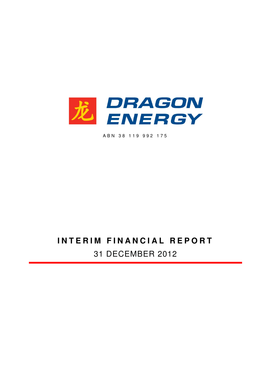

A B N 3 8 1 1 9 9 9 2 1 7 5

# **INTERIM FINANCIAL REPORT** 31 DECEMBER 2012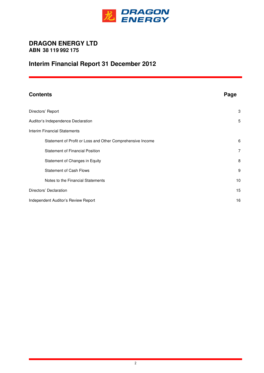

## **DRAGON ENERGY LTD ABN 38 119 992 175**

## **Interim Financial Report 31 December 2012**

| <b>Contents</b>                                            | Page           |
|------------------------------------------------------------|----------------|
| Directors' Report                                          | 3              |
| Auditor's Independence Declaration                         | 5              |
| <b>Interim Financial Statements</b>                        |                |
| Statement of Profit or Loss and Other Comprehensive Income | 6              |
| <b>Statement of Financial Position</b>                     | $\overline{7}$ |
| Statement of Changes in Equity                             | 8              |
| <b>Statement of Cash Flows</b>                             | 9              |
| Notes to the Financial Statements                          | 10             |
| Directors' Declaration                                     | 15             |
| Independent Auditor's Review Report                        | 16             |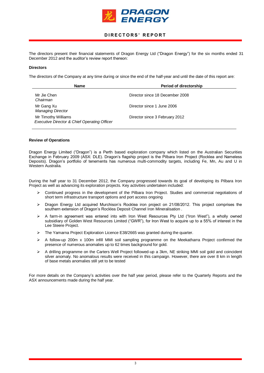

## **D I R E C T O R S ' R E P O R T**

The directors present their financial statements of Dragon Energy Ltd ("Dragon Energy") for the six months ended 31 December 2012 and the auditor's review report thereon:

### **Directors**

The directors of the Company at any time during or since the end of the half-year and until the date of this report are:

| <b>Name</b>                                                         | <b>Period of directorship</b>   |
|---------------------------------------------------------------------|---------------------------------|
| Mr Jie Chen<br>Chairman                                             | Director since 18 December 2008 |
| Mr Gang Xu<br><b>Managing Director</b>                              | Director since 1 June 2006      |
| Mr Timothy Williams<br>Executive Director & Chief Operating Officer | Director since 3 February 2012  |

#### **Review of Operations**

Dragon Energy Limited ("Dragon") is a Perth based exploration company which listed on the Australian Securities Exchange in February 2009 (ASX: DLE). Dragon's flagship project is the Pilbara Iron Project (Rocklea and Nameless Deposits). Dragon's portfolio of tenements has numerous multi-commodity targets, including Fe, Mn, Au and U in Western Australia.

During the half year to 31 December 2012, the Company progressed towards its goal of developing its Pilbara Iron Project as well as advancing its exploration projects. Key activities undertaken included:

- $\triangleright$  Continued progress in the development of the Pilbara Iron Project. Studies and commercial negotiations of short term infrastructure transport options and port access ongoing
- Dragon Energy Ltd acquired Murchison's Rocklea iron project on 21/08/2012. This project comprises the southern extension of Dragon's Rocklea Deposit Channel Iron Mineralisation .
- $\triangleright$  A farm-in agreement was entered into with Iron West Resources Pty Ltd ("Iron West"), a wholly owned subsidiary of Golden West Resources Limited ("GWR"), for Iron West to acquire up to a 55% of interest in the Lee Steere Project.
- $\triangleright$  The Yamarna Project Exploration Licence E38/2665 was granted during the quarter.
- $\triangleright$  A follow-up 200m x 100m infill MMI soil sampling programme on the Meekatharra Project confirmed the presence of numerous anomalies up to 62 times background for gold.
- A drilling programme on the Carters Well Project followed-up a 3km, NE striking MMI soil gold and coincident silver anomaly. No anomalous results were received in this campaign. However, there are over 8 km in length of base metals anomalies still yet to be tested

For more details on the Company's activities over the half year period, please refer to the Quarterly Reports and the ASX announcements made during the half year.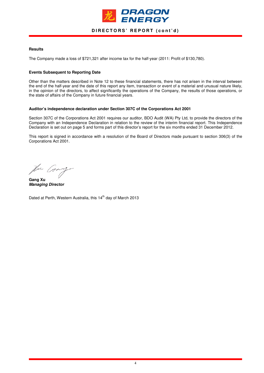

## DIRECTORS' REPORT (cont'd)

### **Results**

The Company made a loss of \$721,321 after income tax for the half-year (2011: Profit of \$130,780).

#### **Events Subsequent to Reporting Date**

Other than the matters described in Note 12 to these financial statements, there has not arisen in the interval between the end of the half-year and the date of this report any item, transaction or event of a material and unusual nature likely, in the opinion of the directors, to affect significantly the operations of the Company, the results of those operations, or the state of affairs of the Company in future financial years.

#### **Auditor's independence declaration under Section 307C of the Corporations Act 2001**

Section 307C of the Corporations Act 2001 requires our auditor, BDO Audit (WA) Pty Ltd, to provide the directors of the Company with an Independence Declaration in relation to the review of the interim financial report. This Independence Declaration is set out on page 5 and forms part of this director's report for the six months ended 31 December 2012.

This report is signed in accordance with a resolution of the Board of Directors made pursuant to section 306(3) of the Corporations Act 2001.

Var Gian

**Gang Xu Managing Director** 

Dated at Perth, Western Australia, this 14<sup>th</sup> day of March 2013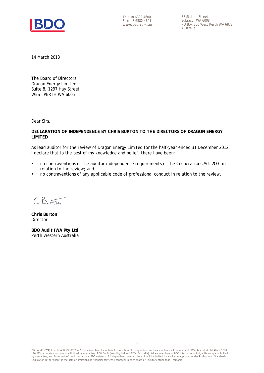

Tel: +8 6382 4600 Fax: +8 6382 4601 **www.bdo.com.au**  38 Station Street Subiaco, WA 6008 PO Box 700 West Perth WA 6872 Australia

14 March 2013

The Board of Directors Dragon Energy Limited Suite 8, 1297 Hay Street WEST PERTH WA 6005

Dear Sirs,

**DECLARATION OF INDEPENDENCE BY CHRIS BURTON TO THE DIRECTORS OF DRAGON ENERGY LIMITED** 

As lead auditor for the review of Dragon Energy Limited for the half-year ended 31 December 2012, I declare that to the best of my knowledge and belief, there have been:

- no contraventions of the auditor independence requirements of the *Corporations Act 2001* in relation to the review; and
- no contraventions of any applicable code of professional conduct in relation to the review.

 $CB55$ 

**Chris Burton**  Director

**BDO Audit (WA Pty Ltd**  Perth Western Australia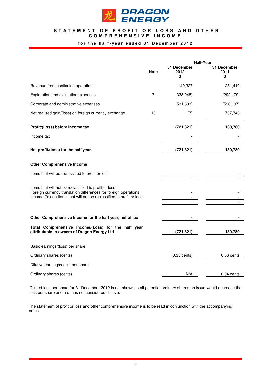

## STATEMENT OF PROFIT OR LOSS AND OTHER **C O M P R E H E N S I V E I N C O M E**

## for the half-year ended 31 December 2012

|                                                                                                                                                                                                 | <b>Half-Year</b> |                           |                           |
|-------------------------------------------------------------------------------------------------------------------------------------------------------------------------------------------------|------------------|---------------------------|---------------------------|
|                                                                                                                                                                                                 | <b>Note</b>      | 31 December<br>2012<br>\$ | 31 December<br>2011<br>\$ |
| Revenue from continuing operations                                                                                                                                                              |                  | 149,327                   | 281,410                   |
| Exploration and evaluation expenses                                                                                                                                                             | 7                | (338, 948)                | (292, 179)                |
| Corporate and administrative expenses                                                                                                                                                           |                  | (531, 693)                | (596, 197)                |
| Net realised gain/(loss) on foreign currency exchange                                                                                                                                           | 10               | (7)                       | 737,746                   |
| Profit/(Loss) before income tax                                                                                                                                                                 |                  | (721, 321)                | 130,780                   |
| Income tax                                                                                                                                                                                      |                  |                           |                           |
| Net profit/(loss) for the half year                                                                                                                                                             |                  | (721, 321)                | 130,780                   |
| <b>Other Comprehensive Income</b>                                                                                                                                                               |                  |                           |                           |
| Items that will be reclassified to profit or loss                                                                                                                                               |                  |                           |                           |
| Items that will not be reclassified to profit or loss<br>Foreign currency translation differences for foreign operations<br>Income Tax on items that will not be reclassified to profit or loss |                  |                           |                           |
| Other Comprehensive Income for the half year, net of tax                                                                                                                                        |                  |                           |                           |
| Total Comprehensive Income/(Loss) for the half year<br>attributable to owners of Dragon Energy Ltd                                                                                              |                  | (721, 321)                | 130,780                   |
| Basic earnings/(loss) per share                                                                                                                                                                 |                  |                           |                           |
| Ordinary shares (cents)                                                                                                                                                                         |                  | $(0.35 \text{ cents})$    | $0.06$ cents              |
| Dilutive earnings/(loss) per share                                                                                                                                                              |                  |                           |                           |
| Ordinary shares (cents)                                                                                                                                                                         |                  | N/A                       | 0.04 cents                |

Diluted loss per share for 31 December 2012 is not shown as all potential ordinary shares on issue would decrease the loss per share and are thus not considered dilutive.

The statement of profit or loss and other comprehensive income is to be read in conjunction with the accompanying notes.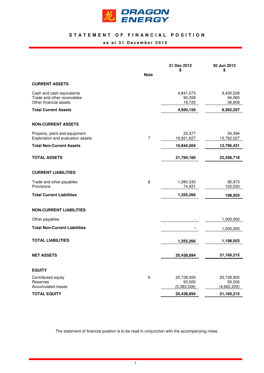

## STATEMENT OF FINANCIAL POSITION **a s a t 3 1 D e c e m b e r 2 0 1 2**

|                                      | <b>Note</b>      | 31 Dec 2012<br>\$ | 30 Jun 2012<br>\$ |
|--------------------------------------|------------------|-------------------|-------------------|
| <b>CURRENT ASSETS</b>                |                  |                   |                   |
|                                      |                  |                   |                   |
| Cash and cash equivalents            |                  | 4,841,073         | 9,430,528         |
| Trade and other receivables          |                  | 90,358            | 94,960            |
| Other financial assets               |                  | 18,725            | 36,809            |
| <b>Total Current Assets</b>          |                  | 4,950,156         | 9,562,297         |
| <b>NON-CURRENT ASSETS</b>            |                  |                   |                   |
| Property, plant and equipment        |                  | 22,377            | 34,394            |
| Exploration and evaluation assets    | $\overline{7}$   | 16,821,627        | 12,762,027        |
| <b>Total Non-Current Assets</b>      |                  | 16,844,004        | 12,796,421        |
|                                      |                  |                   |                   |
| <b>TOTAL ASSETS</b>                  |                  | 21,794,160        | 22,358,718        |
| <b>CURRENT LIABILITIES</b>           |                  |                   |                   |
| Trade and other payables             | 8                | 1,280,335         | 95,973            |
| Provisions                           |                  | 74,931            | 102,530           |
| <b>Total Current Liabilities</b>     |                  | 1,355,266         | 198,503           |
| <b>NON-CURRENT LIABILITIES</b>       |                  |                   |                   |
| Other payables                       |                  |                   | 1,000,000         |
| <b>Total Non-Current Liabilities</b> |                  |                   | 1,000,000         |
| <b>TOTAL LIABILITIES</b>             |                  | 1,355,266         | 1,198,503         |
|                                      |                  |                   |                   |
| <b>NET ASSETS</b>                    |                  | 20,438,894        | 21,160,215        |
| <b>EQUITY</b>                        |                  |                   |                   |
| Contributed equity                   | $\boldsymbol{9}$ | 25,728,920        | 25,728,920        |
| Reserves                             |                  | 93,500            | 93,500            |
| <b>Accumulated losses</b>            |                  | (5,383,526)       | (4,662,205)       |
| <b>TOTAL EQUITY</b>                  |                  | 20,438,894        | 21,160,215        |

The statement of financial position is to be read in conjunction with the accompanying notes.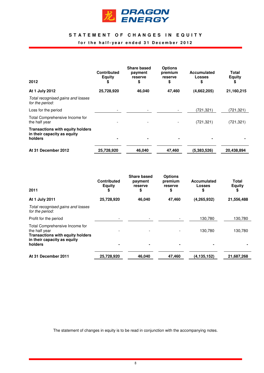

## STATEMENT OF CHANGES IN EQUITY

## for the half-year ended 31 December 2012

| 2012                                                                              | <b>Contributed</b><br>Equity<br>\$ | <b>Share based</b><br>payment<br>reserve<br>\$ | <b>Options</b><br>premium<br>reserve<br>\$ | <b>Accumulated</b><br><b>Losses</b><br>\$ | Total<br><b>Equity</b><br>\$ |
|-----------------------------------------------------------------------------------|------------------------------------|------------------------------------------------|--------------------------------------------|-------------------------------------------|------------------------------|
| At 1 July 2012                                                                    | 25,728,920                         | 46,040                                         | 47,460                                     | (4,662,205)                               | 21,160,215                   |
| Total recognised gains and losses<br>for the period:                              |                                    |                                                |                                            |                                           |                              |
| Loss for the period                                                               |                                    |                                                |                                            | (721, 321)                                | (721,321)                    |
| Total Comprehensive Income for<br>the half year                                   |                                    |                                                |                                            | (721, 321)                                | (721, 321)                   |
| <b>Transactions with equity holders</b><br>in their capacity as equity<br>holders |                                    | $\blacksquare$                                 |                                            |                                           |                              |
| At 31 December 2012                                                               | 25,728,920                         | 46.040                                         | 47.460                                     | (5,383,526)                               | 20,438,894                   |

| 2011                                                                                                                      | <b>Contributed</b><br><b>Equity</b><br>\$ | <b>Share based</b><br>payment<br>reserve<br>\$ | <b>Options</b><br>premium<br>reserve<br>\$ | <b>Accumulated</b><br>Losses<br>\$ | Total<br><b>Equity</b><br>\$ |
|---------------------------------------------------------------------------------------------------------------------------|-------------------------------------------|------------------------------------------------|--------------------------------------------|------------------------------------|------------------------------|
| At 1 July 2011                                                                                                            | 25,728,920                                | 46,040                                         | 47,460                                     | (4, 265, 932)                      | 21,556,488                   |
| Total recognised gains and losses<br>for the period:                                                                      |                                           |                                                |                                            |                                    |                              |
| Profit for the period                                                                                                     |                                           |                                                |                                            | 130,780                            | 130,780                      |
| Total Comprehensive Income for<br>the half year<br><b>Transactions with equity holders</b><br>in their capacity as equity |                                           |                                                |                                            | 130,780                            | 130,780                      |
| holders                                                                                                                   |                                           |                                                |                                            |                                    |                              |
| At 31 December 2011                                                                                                       | 25,728,920                                | 46,040                                         | 47,460                                     | (4, 135, 152)                      | 21,687,268                   |

The statement of changes in equity is to be read in conjunction with the accompanying notes.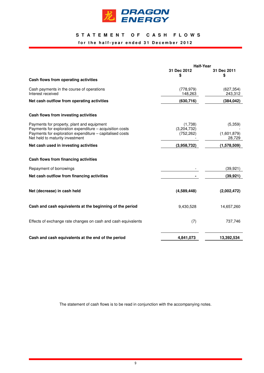

## **S T A T E M E N T O F C A S H F L O W S**

## for the half-year ended 31 December 2012

|                                                                                                        | <b>Half-Year</b>       |                       |
|--------------------------------------------------------------------------------------------------------|------------------------|-----------------------|
|                                                                                                        | 31 Dec 2012<br>\$      | 31 Dec 2011<br>\$     |
| Cash flows from operating activities                                                                   |                        |                       |
| Cash payments in the course of operations<br>Interest received                                         | (778, 979)<br>148,263  | (627, 354)<br>243,312 |
| Net cash outflow from operating activities                                                             | (630, 716)             | (384, 042)            |
| Cash flows from investing activities                                                                   |                        |                       |
| Payments for property, plant and equipment<br>Payments for exploration expenditure - acquisition costs | (1,738)<br>(3,204,732) | (5,359)               |
| Payments for exploration expenditure - capitalised costs<br>Net held to maturity investment            | (752, 262)             | (1,601,879)<br>28,729 |
| Net cash used in investing activities                                                                  | (3,958,732)            | (1,578,509)           |
| Cash flows from financing activities                                                                   |                        |                       |
| Repayment of borrowings                                                                                |                        | (39, 921)             |
| Net cash outflow from financing activities                                                             |                        | (39, 921)             |
| Net (decrease) in cash held                                                                            | (4,589,448)            | (2,002,472)           |
| Cash and cash equivalents at the beginning of the period                                               | 9,430,528              | 14,657,260            |
| Effects of exchange rate changes on cash and cash equivalents                                          | (7)                    | 737,746               |
| Cash and cash equivalents at the end of the period                                                     | 4,841,073              | 13,392,534            |

The statement of cash flows is to be read in conjunction with the accompanying notes.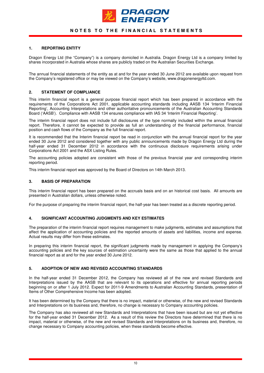

## **NOTES TO THE FINANCIAL STATEMENTS**

## **1. REPORTING ENTITY**

Dragon Energy Ltd (the "Company") is a company domiciled in Australia. Dragon Energy Ltd is a company limited by shares incorporated in Australia whose shares are publicly traded on the Australian Securities Exchange.

The annual financial statements of the entity as at and for the year ended 30 June 2012 are available upon request from the Company's registered office or may be viewed on the Company's website, www.dragonenergyltd.com.

### **2. STATEMENT OF COMPLIANCE**

This interim financial report is a general purpose financial report which has been prepared in accordance with the requirements of the Corporations Act 2001, applicable accounting standards including AASB 134 'Interim Financial Reporting', Accounting Interpretations and other authoritative pronouncements of the Australian Accounting Standards Board ('AASB'). Compliance with AASB 134 ensures compliance with IAS 34 'Interim Financial Reporting'.

The interim financial report does not include full disclosures of the type normally included within the annual financial report. Therefore, it cannot be expected to provide as full an understanding of the financial performance, financial position and cash flows of the Company as the full financial report.

It is recommended that the Interim financial report be read in conjunction with the annual financial report for the year ended 30 June 2012 and considered together with any public announcements made by Dragon Energy Ltd during the half-year ended 31 December 2012 in accordance with the continuous disclosure requirements arising under Corporations Act 2001 and the ASX Listing Rules.

The accounting policies adopted are consistent with those of the previous financial year and corresponding interim reporting period.

This interim financial report was approved by the Board of Directors on 14th March 2013.

### **3. BASIS OF PREPARATION**

This interim financial report has been prepared on the accruals basis and on an historical cost basis. All amounts are presented in Australian dollars, unless otherwise noted.

For the purpose of preparing the interim financial report, the half-year has been treated as a discrete reporting period.

#### **4. SIGNIFICANT ACCOUNTING JUDGMENTS AND KEY ESTIMATES**

The preparation of the interim financial report requires management to make judgments, estimates and assumptions that affect the application of accounting policies and the reported amounts of assets and liabilities, income and expense. Actual results may differ from these estimates.

In preparing this interim financial report, the significant judgments made by management in applying the Company's accounting policies and the key sources of estimation uncertainty were the same as those that applied to the annual financial report as at and for the year ended 30 June 2012.

#### **5. ADOPTION OF NEW AND REVISED ACCOUNTING STANDARDS**

In the half-year ended 31 December 2012, the Company has reviewed all of the new and revised Standards and Interpretations issued by the AASB that are relevant to its operations and effective for annual reporting periods beginning on or after 1 July 2012. Expect for 2011-9 Amendments to Australian Accounting Standards, presentation of Items of Other Comprehensive Income has been adopted.

It has been determined by the Company that there is no impact, material or otherwise, of the new and revised Standards and Interpretations on its business and, therefore, no change is necessary to Company accounting policies.

The Company has also reviewed all new Standards and Interpretations that have been issued but are not yet effective for the half-year ended 31 December 2012. As a result of this review the Directors have determined that there is no impact, material or otherwise, of the new and revised Standards and Interpretations on its business and, therefore, no change necessary to Company accounting policies, when these standards become effective.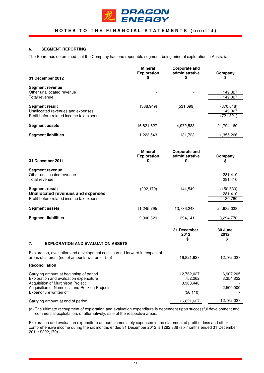

## **NOTES TO THE FINANCIAL STATEMENTS (cont'd)**

## **6. SEGMENT REPORTING**

The Board has determined that the Company has one reportable segment, being mineral exploration in Australia.

|                                                                                                                                                                                                 | <b>Mineral</b><br><b>Exploration</b>       | <b>Corporate and</b><br>administrative          | Company                             |
|-------------------------------------------------------------------------------------------------------------------------------------------------------------------------------------------------|--------------------------------------------|-------------------------------------------------|-------------------------------------|
| 31 December 2012                                                                                                                                                                                | S                                          | \$                                              |                                     |
| <b>Segment revenue</b><br>Other unallocated revenue<br>Total revenue                                                                                                                            |                                            |                                                 | 149,327<br>149,327                  |
|                                                                                                                                                                                                 |                                            |                                                 |                                     |
| <b>Segment result</b><br>Unallocated revenues and expenses                                                                                                                                      | (338, 949)                                 | (531, 699)                                      | (870, 648)<br>149,327               |
| Profit before related income tax expense                                                                                                                                                        |                                            |                                                 | (721, 321)                          |
| <b>Segment assets</b>                                                                                                                                                                           | 16,821,627                                 | 4,972,533                                       | 21,794,160                          |
| <b>Segment liabilities</b>                                                                                                                                                                      | 1,223,543                                  | 131,723                                         | 1,355,266                           |
| 31 December 2011                                                                                                                                                                                | <b>Mineral</b><br><b>Exploration</b><br>\$ | <b>Corporate and</b><br>administrative<br>\$    | Company<br>\$                       |
| <b>Segment revenue</b><br>Other unallocated revenue<br>Total revenue                                                                                                                            |                                            |                                                 | 281,410<br>281,410                  |
| <b>Segment result</b><br><b>Unallocated revenues and expenses</b><br>Profit before related income tax expense                                                                                   | (292, 179)                                 | 141,549                                         | (150, 630)<br>281,410<br>130,780    |
| <b>Segment assets</b>                                                                                                                                                                           | 11,245,795                                 | 13,736,243                                      | 24,982,038                          |
| <b>Segment liabilities</b>                                                                                                                                                                      | 2,900,629                                  | 394,141                                         | 3,294,770                           |
|                                                                                                                                                                                                 |                                            | 31 December<br>2012<br>\$                       | 30 June<br>2012<br>\$               |
| 7.<br><b>EXPLORATION AND EVALUATION ASSETS</b>                                                                                                                                                  |                                            |                                                 |                                     |
| Exploration, evaluation and development costs carried forward in respect of<br>areas of interest (net of amounts written off) (a)                                                               |                                            | 16,821,627                                      | 12,762,027                          |
| Reconciliation                                                                                                                                                                                  |                                            |                                                 |                                     |
| Carrying amount at beginning of period<br>Exploration and evaluation expenditure<br>Acquisition of Murchison Project<br>Acquisition of Nameless and Rocklea Projects<br>Expenditure written off |                                            | 12,762,027<br>752,262<br>3,363,448<br>(56, 110) | 6,907,205<br>3,354,822<br>2,500,000 |
| Carrying amount at end of period                                                                                                                                                                |                                            | 16,821,627                                      | 12,762,027                          |

(a) The ultimate recoupment of exploration and evaluation expenditure is dependent upon successful development and commercial exploitation, or alternatively, sale of the respective areas.

Exploration and evaluation expenditure amount immediately expensed in the statement of profit or loss and other comprehensive income during the six months ended 31 December 2012 is \$282,838 (six months ended 31 December 2011: \$292,179)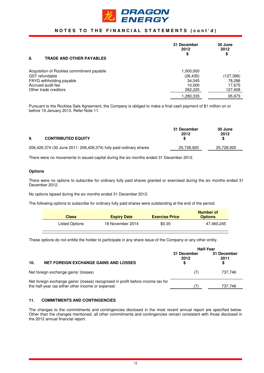

## **NOTES TO THE FINANCIAL STATEMENTS (cont'd)**

| 8.<br><b>TRADE AND OTHER PAYABLES</b>     | 31 December<br>2012<br>\$ | 30 June<br>2012<br>\$ |
|-------------------------------------------|---------------------------|-----------------------|
| Acquisition of Rocklea commitment payable | 1,000,000                 |                       |
| <b>GST</b> refundable                     | (26, 435)                 | (127,396)             |
| PAYG withholding payable                  | 34,545                    | 78,286                |
| Accrued audit fee                         | 10,000                    | 17,675                |
| Other trade creditors                     | 262,225                   | 127,408               |
|                                           | 1,280,335                 | 95,973                |

Pursuant to the Rocklea Sale Agreement, the Company is obliged to make a final cash payment of \$1 million on or before 19 January 2013. Refer Note 11.

|    |                                                                    | 31 December<br>2012 | 30 June<br>2012 |
|----|--------------------------------------------------------------------|---------------------|-----------------|
| 9. | <b>CONTRIBUTED EQUITY</b>                                          |                     | S.              |
|    | 206,426,374 (30 June 2011: 206,426,374) fully paid ordinary shares | 25,728,920          | 25,728,920      |

There were no movements in issued capital during the six months ended 31 December 2012.

## **Options**

There were no options to subscribe for ordinary fully paid shares granted or exercised during the six months ended 31 December 2012.

No options lapsed during the six months ended 31 December 2012.

The following options to subscribe for ordinary fully paid shares were outstanding at the end of the period:

| <b>Class</b>   | <b>Expiry Date</b> | <b>Exercise Price</b> | Number of<br><b>Options</b> |
|----------------|--------------------|-----------------------|-----------------------------|
| Listed Options | 18 November 2014   | \$0.35                | 47,460,245                  |

These options do not entitle the holder to participate in any share issue of the Company or any other entity.

|                                                                                                                                      | <b>Half-Year</b>    |                     |
|--------------------------------------------------------------------------------------------------------------------------------------|---------------------|---------------------|
|                                                                                                                                      | 31 December<br>2012 | 31 December<br>2011 |
| 10.<br><b>NET FOREIGN EXCHANGE GAINS AND LOSSES</b>                                                                                  |                     |                     |
| Net foreign exchange gains/ (losses)                                                                                                 | (7)                 | 737,746             |
| Net foreign exchange gains/ (losses) recognised in profit before income tax for<br>the half-year (as either other income or expense) |                     | 737,746             |
|                                                                                                                                      |                     |                     |

## **11. COMMITMENTS AND CONTINGENCIES**

The changes to the commitments and contingencies disclosed in the most recent annual report are specified below. Other than the changes mentioned, all other commitments and contingencies remain consistent with those disclosed in the 2012 annual financial report.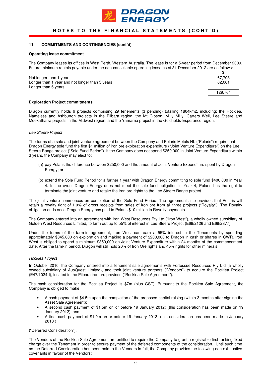

## **NOTES TO THE FINANCIAL STATEMENTS (CONT'D)**

### **11. COMMITMENTS AND CONTINGENCIES (cont'd)**

#### **Operating lease commitment**

The Company leases its offices in West Perth, Western Australia. The lease is for a 5-year period from December 2009. Future minimum rentals payable under the non-cancellable operating lease as at 31 December 2012 are as follows:

| Not longer than 1 year                         | 67.703                   |
|------------------------------------------------|--------------------------|
| Longer than 1 year and not longer than 5 years | 62.061                   |
| Longer than 5 years                            | $\overline{\phantom{0}}$ |
|                                                | 129.764                  |

#### **Exploration Project commitments**

Dragon currently holds 9 projects comprising 29 tenements (3 pending) totalling 1804km2, including; the Rocklea, Nameless and Ashburton projects in the Pilbara region; the Mt Gibson, Milly Milly, Carters Well, Lee Steere and Meekatharra projects in the Midwest region; and the Yamarna project in the Goldfields-Esperance region.

#### Lee Steere Project

The terms of a sale and joint venture agreement between the Company and Polaris Metals NL ("Polaris") require that Dragon Energy sole fund the first \$1 million of iron ore exploration expenditure ("Joint Venture Expenditure") on the Lee Steere Range project ("Sole Fund Period"). If the Company does not spend \$250,000 in Joint Venture Expenditure within 3 years, the Company may elect to:

- (a) pay Polaris the difference between \$250,000 and the amount of Joint Venture Expenditure spent by Dragon Energy; or
- (b) extend the Sole Fund Period for a further 1 year with Dragon Energy committing to sole fund \$400,000 in Year 4. In the event Dragon Energy does not meet the sole fund obligation in Year 4, Polaris has the right to terminate the joint venture and retake the iron ore rights to the Lee Steere Range project.

The joint venture commences on completion of the Sole Fund Period. The agreement also provides that Polaris will retain a royalty right of 1.0% of gross receipts from sales of iron ore from all three projects ("Royalty"). The Royalty obligation ends once Dragon Energy has paid to Polaris \$10 million in Royalty payments.

The Company entered into an agreement with Iron West Resources Pty Ltd ("Iron West"), a wholly owned subsidiary of Golden West Resources Limited, to farm out up to 55% of interest in Lee Steere Project (E69/2126 and E69/2377).

Under the terms of the farm-in agreement, Iron West can earn a 55% interest in the Tenements by spending approximately \$845,000 on exploration and making a payment of \$200,000 to Dragon in cash or shares in GWR. Iron West is obliged to spend a minimum \$350,000 on Joint Venture Expenditure within 24 months of the commencement date. After the farm-in period, Dragon will still hold 20% of Iron Ore rights and 45% rights for other minerals.

#### Rocklea Project

In October 2010, the Company entered into a tenement sale agreements with Fortescue Resources Pty Ltd (a wholly owned subsidiary of AusQuest Limited), and their joint venture partners ("Vendors") to acquire the Rocklea Project (E47/1024-I), located in the Pilbara iron ore province ("Rocklea Sale Agreement").

The cash consideration for the Rocklea Project is \$7m (plus GST). Pursuant to the Rocklea Sale Agreement, the Company is obliged to make:

- A cash payment of \$4.5m upon the completion of the proposed capital raising (within 3 months after signing the Asset Sale Agreement);
- A second cash payment of \$1.5m on or before 19 January 2012; (this consideration has been made on 19 January 2012); and
- A final cash payment of \$1.0m on or before 19 January 2013; (this consideration has been made in January 2013 )

("Deferred Consideration").

The Vendors of the Rocklea Sale Agreement are entitled to require the Company to grant a registrable first ranking fixed charge over the Tenement in order to secure payment of the deferred components of the consideration. Until such time as the Deferred Consideration has been paid to the Vendors in full, the Company provides the following non-exhaustive covenants in favour of the Vendors: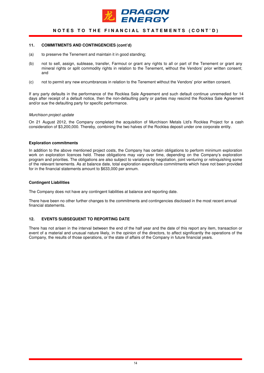

## **NOTES TO THE FINANCIAL STATEMENTS (CONT'D)**

#### **11. COMMITMENTS AND CONTINGENCIES (cont'd)**

- (a) to preserve the Tenement and maintain it in good standing;
- (b) not to sell, assign, sublease, transfer, Farmout or grant any rights to all or part of the Tenement or grant any mineral rights or split commodity rights in relation to the Tenement, without the Vendors' prior written consent; and
- (c) not to permit any new encumbrances in relation to the Tenement without the Vendors' prior written consent.

If any party defaults in the performance of the Rocklea Sale Agreement and such default continue unremedied for 14 days after receipt of a default notice, then the non-defaulting party or parties may rescind the Rocklea Sale Agreement and/or sue the defaulting party for specific performance.

#### Murchison project update

On 21 August 2012, the Company completed the acquisition of Murchison Metals Ltd's Rocklea Project for a cash consideration of \$3,200,000. Thereby, combining the two halves of the Rocklea deposit under one corporate entity.

#### **Exploration commitments**

In addition to the above mentioned project costs, the Company has certain obligations to perform minimum exploration work on exploration licences held. These obligations may vary over time, depending on the Company's exploration program and priorities. The obligations are also subject to variations by negotiation, joint venturing or relinquishing some of the relevant tenements. As at balance date, total exploration expenditure commitments which have not been provided for in the financial statements amount to \$633,000 per annum.

#### **Contingent Liabilities**

The Company does not have any contingent liabilities at balance and reporting date.

There have been no other further changes to the commitments and contingencies disclosed in the most recent annual financial statements.

#### **12. EVENTS SUBSEQUENT TO REPORTING DATE**

There has not arisen in the interval between the end of the half year and the date of this report any item, transaction or event of a material and unusual nature likely, in the opinion of the directors, to affect significantly the operations of the Company, the results of those operations, or the state of affairs of the Company in future financial years.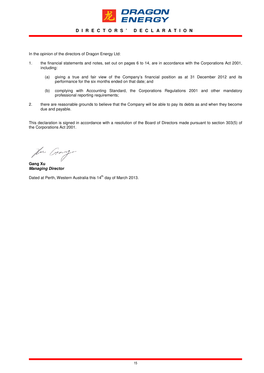

## **D I R E C T O R S ' D E C L A R A T I O N**

In the opinion of the directors of Dragon Energy Ltd:

- 1. the financial statements and notes, set out on pages 6 to 14, are in accordance with the Corporations Act 2001, including:
	- (a) giving a true and fair view of the Company's financial position as at 31 December 2012 and its performance for the six months ended on that date; and
	- (b) complying with Accounting Standard, the Corporations Regulations 2001 and other mandatory professional reporting requirements;
- 2. there are reasonable grounds to believe that the Company will be able to pay its debts as and when they become due and payable.

This declaration is signed in accordance with a resolution of the Board of Directors made pursuant to section 303(5) of the Corporations Act 2001.

for Grand

**Gang Xu Managing Director** 

Dated at Perth, Western Australia this 14<sup>th</sup> day of March 2013.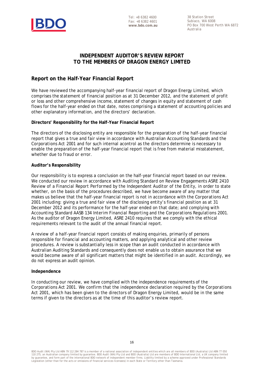

Tel: +8 6382 4600 Fax: +8 6382 4601 **www.bdo.com.au** 

38 Station Street Subiaco, WA 6008 PO Box 700 West Perth WA 6872 Australia

## **INDEPENDENT AUDITOR'S REVIEW REPORT TO THE MEMBERS OF DRAGON ENERGY LIMITED**

## **Report on the Half-Year Financial Report**

We have reviewed the accompanying half-year financial report of Dragon Energy Limited, which comprises the statement of financial position as at 31 December 2012, and the statement of profit or loss and other comprehensive income, statement of changes in equity and statement of cash flows for the half-year ended on that date, notes comprising a statement of accounting policies and other explanatory information, and the directors' declaration.

**Directors' Responsibility for the Half-Year Financial Report** 

The directors of the disclosing entity are responsible for the preparation of the half-year financial report that gives a true and fair view in accordance with Australian Accounting Standards and the *Corporations Act 2001* and for such internal acontrol as the directors determine is necessary to enable the preparation of the half-year financial report that is free from material misstatement, whether due to fraud or error.

## **Auditor's Responsibility**

Our responsibility is to express a conclusion on the half-year financial report based on our review. We conducted our review in accordance with Auditing Standard on Review Engagements ASRE 2410 *Review of a Financial Report Performed by the Independent Auditor of the Entity*, in order to state whether, on the basis of the procedures described, we have become aware of any matter that makes us believe that the half-year financial report is not in accordance with the *Corporations Act 2001* including: giving a true and fair view of the disclosing entity's financial position as at 31 December 2012 and its performance for the half-year ended on that date; and complying with Accounting Standard AASB 134 *Interim Financial Reporting* and the *Corporations Regulations 2001*. As the auditor of Dragon Energy Limited, ASRE 2410 requires that we comply with the ethical requirements relevant to the audit of the annual financial report.

A review of a half-year financial report consists of making enquiries, primarily of persons responsible for financial and accounting matters, and applying analytical and other review procedures. A review is substantially less in scope than an audit conducted in accordance with Australian Auditing Standards and consequently does not enable us to obtain assurance that we would become aware of all significant matters that might be identified in an audit. Accordingly, we do not express an audit opinion.

## **Independence**

In conducting our review, we have complied with the independence requirements of the *Corporations Act 2001*. We confirm that the independence declaration required by the *Corporations Act 2001*, which has been given to the directors of Dragon Energy Limited, would be in the same terms if given to the directors as at the time of this auditor's review report.

BDO Audit (WA) Pty Ltd ABN 79 112 284 787 is a member of a national association of independent entities which are all members of BDO (Australia) Ltd ABN 77 050 110 275, an Australian company limited by guarantee. BDO Audit (WA) Pty Ltd and BDO (Australia) Ltd are members of BDO International Ltd, a UK company limited<br>by quarantee, and form part of the international BDO network of by guarantee, and form part of the international BDO network of independent member firms. Liability limited by a scheme approved under Professional Sta Legislation (other than for the acts or omissions of financial services licensees) in each State or Territory other than Tasmania.